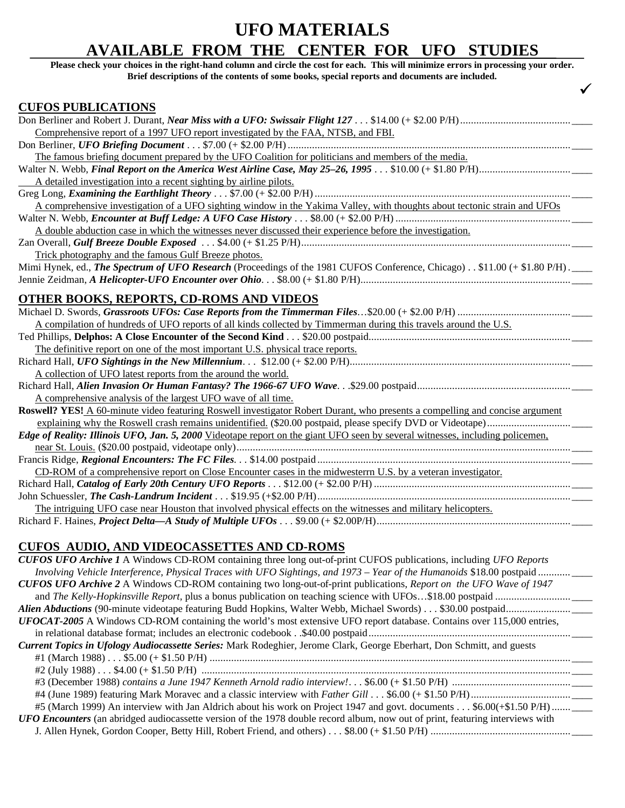# **UFO MATERIALS AVAILABLE FROM THE CENTER FOR UFO STUDIES**

**Please check your choices in the right-hand column and circle the cost for each. This will minimize errors in processing your order. Brief descriptions of the contents of some books, special reports and documents are included.** 

**¸**

### **CUFOS PUBLICATIONS**

| Comprehensive report of a 1997 UFO report investigated by the FAA, NTSB, and FBI.                                               |
|---------------------------------------------------------------------------------------------------------------------------------|
|                                                                                                                                 |
| The famous briefing document prepared by the UFO Coalition for politicians and members of the media.                            |
|                                                                                                                                 |
| A detailed investigation into a recent sighting by airline pilots.                                                              |
|                                                                                                                                 |
| A comprehensive investigation of a UFO sighting window in the Yakima Valley, with thoughts about tectonic strain and UFOs       |
|                                                                                                                                 |
| A double abduction case in which the witnesses never discussed their experience before the investigation.                       |
|                                                                                                                                 |
| Trick photography and the famous Gulf Breeze photos.                                                                            |
| Mimi Hynek, ed., The Spectrum of UFO Research (Proceedings of the 1981 CUFOS Conference, Chicago) . \$11.00 (+ \$1.80 P/H) .___ |
|                                                                                                                                 |
|                                                                                                                                 |
| <b>OTHER BOOKS, REPORTS, CD-ROMS AND VIDEOS</b>                                                                                 |
|                                                                                                                                 |
| A compilation of hundreds of UFO reports of all kinds collected by Timmerman during this travels around the U.S.                |
|                                                                                                                                 |
| The definitive report on one of the most important U.S. physical trace reports.                                                 |
|                                                                                                                                 |
| A collection of UFO latest reports from the around the world.                                                                   |
|                                                                                                                                 |
| A comprehensive analysis of the largest UFO wave of all time.                                                                   |
| Roswell? YES! A 60-minute video featuring Roswell investigator Robert Durant, who presents a compelling and concise argument    |
|                                                                                                                                 |
| Edge of Reality: Illinois UFO, Jan. 5, 2000 Videotape report on the giant UFO seen by several witnesses, including policemen,   |
|                                                                                                                                 |
|                                                                                                                                 |
| CD-ROM of a comprehensive report on Close Encounter cases in the midwesterm U.S. by a veteran investigator.                     |
|                                                                                                                                 |
|                                                                                                                                 |
| The intriguing UFO case near Houston that involved physical effects on the witnesses and military helicopters.                  |
|                                                                                                                                 |
|                                                                                                                                 |
| <b>CUFOS AUDIO, AND VIDEOCASSETTES AND CD-ROMS</b>                                                                              |
| CUFOS UFO Archive 1 A Windows CD-ROM containing three long out-of-print CUFOS publications, including UFO Reports               |

| COT OD OT O ATChIVE T A WINGOWS CD-KONT COMMINING UNCC IONG OUT-OF-PHIN COT OD PUONCATIONS, INCRUMING OT O REPORTS                    |
|---------------------------------------------------------------------------------------------------------------------------------------|
| Involving Vehicle Interference, Physical Traces with UFO Sightings, and 1973 – Year of the Humanoids \$18.00 postpaid                 |
| CUFOS UFO Archive 2 A Windows CD-ROM containing two long-out-of-print publications, Report on the UFO Wave of 1947                    |
|                                                                                                                                       |
|                                                                                                                                       |
| <b>UFOCAT-2005</b> A Windows CD-ROM containing the world's most extensive UFO report database. Contains over 115,000 entries,         |
|                                                                                                                                       |
| Current Topics in Ufology Audiocassette Series: Mark Rodeghier, Jerome Clark, George Eberhart, Don Schmitt, and guests                |
|                                                                                                                                       |
|                                                                                                                                       |
|                                                                                                                                       |
|                                                                                                                                       |
| #5 (March 1999) An interview with Jan Aldrich about his work on Project 1947 and govt. documents \$6.00(+\$1.50 P/H)                  |
| <b>UFO Encounters</b> (an abridged audiocassette version of the 1978 double record album, now out of print, featuring interviews with |
|                                                                                                                                       |
|                                                                                                                                       |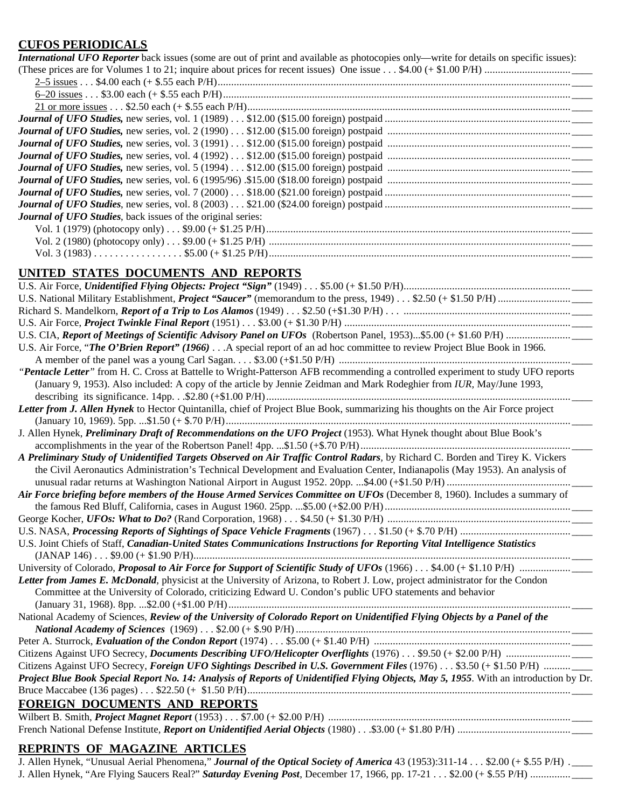## **CUFOS PERIODICALS**

| <b>International UFO Reporter</b> back issues (some are out of print and available as photocopies only—write for details on specific issues): |
|-----------------------------------------------------------------------------------------------------------------------------------------------|
|                                                                                                                                               |
|                                                                                                                                               |
|                                                                                                                                               |
|                                                                                                                                               |
|                                                                                                                                               |
|                                                                                                                                               |
|                                                                                                                                               |
|                                                                                                                                               |
|                                                                                                                                               |
|                                                                                                                                               |
|                                                                                                                                               |
|                                                                                                                                               |
| <b>Journal of UFO Studies, back issues of the original series:</b>                                                                            |
|                                                                                                                                               |
|                                                                                                                                               |
|                                                                                                                                               |
|                                                                                                                                               |

# **UNITED STATES DOCUMENTS AND REPORTS**

| U.S. Air Force, "The O'Brien Report" (1966) A special report of an ad hoc committee to review Project Blue Book in 1966.              |
|---------------------------------------------------------------------------------------------------------------------------------------|
|                                                                                                                                       |
| "Pentacle Letter" from H. C. Cross at Battelle to Wright-Patterson AFB recommending a controlled experiment to study UFO reports      |
| (January 9, 1953). Also included: A copy of the article by Jennie Zeidman and Mark Rodeghier from IUR, May/June 1993,                 |
|                                                                                                                                       |
| Letter from J. Allen Hynek to Hector Quintanilla, chief of Project Blue Book, summarizing his thoughts on the Air Force project       |
|                                                                                                                                       |
| J. Allen Hynek, Preliminary Draft of Recommendations on the UFO Project (1953). What Hynek thought about Blue Book's                  |
|                                                                                                                                       |
| A Preliminary Study of Unidentified Targets Observed on Air Traffic Control Radars, by Richard C. Borden and Tirey K. Vickers         |
| the Civil Aeronautics Administration's Technical Development and Evaluation Center, Indianapolis (May 1953). An analysis of           |
|                                                                                                                                       |
| Air Force briefing before members of the House Armed Services Committee on UFOs (December 8, 1960). Includes a summary of             |
|                                                                                                                                       |
|                                                                                                                                       |
|                                                                                                                                       |
| U.S. Joint Chiefs of Staff, Canadian-United States Communications Instructions for Reporting Vital Intelligence Statistics            |
| $(JANAP 146) \ldots $9.00 (+ $1.90 P/H) \ldots$                                                                                       |
|                                                                                                                                       |
| Letter from James E. McDonald, physicist at the University of Arizona, to Robert J. Low, project administrator for the Condon         |
| Committee at the University of Colorado, criticizing Edward U. Condon's public UFO statements and behavior                            |
|                                                                                                                                       |
| National Academy of Sciences, Review of the University of Colorado Report on Unidentified Flying Objects by a Panel of the            |
|                                                                                                                                       |
|                                                                                                                                       |
|                                                                                                                                       |
| Citizens Against UFO Secrecy, Foreign UFO Sightings Described in U.S. Government Files (1976) \$3.50 (+ \$1.50 P/H)                   |
| Project Blue Book Special Report No. 14: Analysis of Reports of Unidentified Flying Objects, May 5, 1955. With an introduction by Dr. |
|                                                                                                                                       |
| <b>FOREIGN DOCUMENTS AND REPORTS</b>                                                                                                  |
|                                                                                                                                       |

French National Defense Institute, *Report on Unidentified Aerial Objects* (1980) . . .\$3.00 (+ \$1.80 P/H) .......................................... \_\_\_\_

### **REPRINTS OF MAGAZINE ARTICLES**

J. Allen Hynek, "Unusual Aerial Phenomena," *Journal of the Optical Society of America* 43 (1953):311-14 . . . \$2.00 (+ \$.55 P/H) . \_\_\_\_ J. Allen Hynek, "Are Flying Saucers Real?" *Saturday Evening Post*, December 17, 1966, pp. 17-21 . . . \$2.00 (+ \$.55 P/H) ............... \_\_\_\_